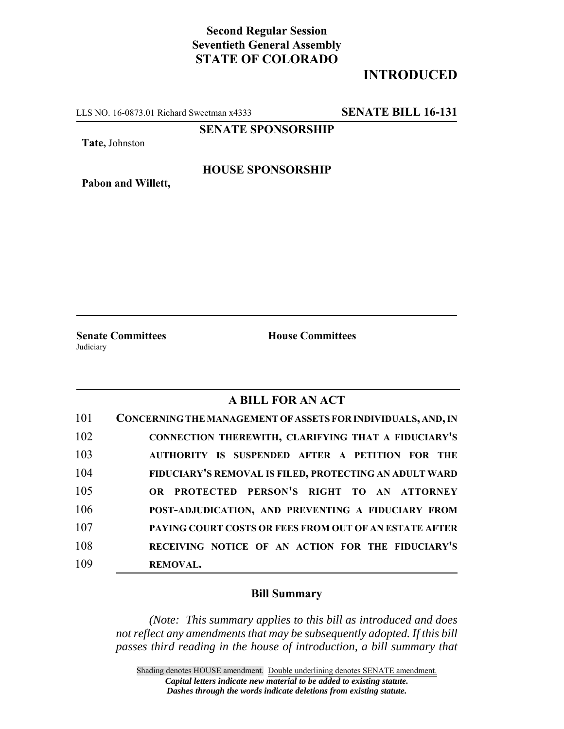# **Second Regular Session Seventieth General Assembly STATE OF COLORADO**

# **INTRODUCED**

LLS NO. 16-0873.01 Richard Sweetman x4333 **SENATE BILL 16-131**

**SENATE SPONSORSHIP**

**Tate,** Johnston

**Pabon and Willett,**

### **HOUSE SPONSORSHIP**

**Judiciary** 

**Senate Committees House Committees** 

### **A BILL FOR AN ACT**

| 101 | CONCERNING THE MANAGEMENT OF ASSETS FOR INDIVIDUALS, AND, IN |
|-----|--------------------------------------------------------------|
| 102 | CONNECTION THEREWITH, CLARIFYING THAT A FIDUCIARY'S          |
| 103 | AUTHORITY IS SUSPENDED AFTER A PETITION FOR THE              |
| 104 | FIDUCIARY'S REMOVAL IS FILED, PROTECTING AN ADULT WARD       |
| 105 | OR PROTECTED PERSON'S RIGHT TO AN ATTORNEY                   |
| 106 | POST-ADJUDICATION, AND PREVENTING A FIDUCIARY FROM           |
| 107 | PAYING COURT COSTS OR FEES FROM OUT OF AN ESTATE AFTER       |
| 108 | RECEIVING NOTICE OF AN ACTION FOR THE FIDUCIARY'S            |
| 109 | <b>REMOVAL.</b>                                              |

#### **Bill Summary**

*(Note: This summary applies to this bill as introduced and does not reflect any amendments that may be subsequently adopted. If this bill passes third reading in the house of introduction, a bill summary that*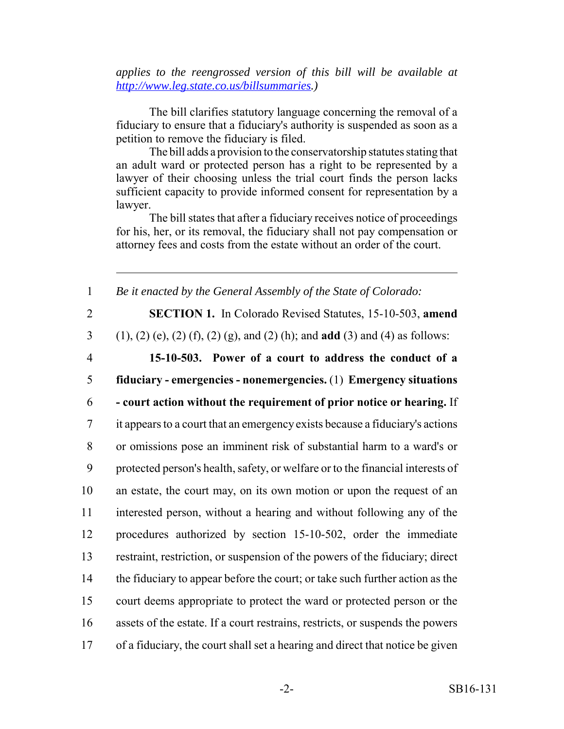*applies to the reengrossed version of this bill will be available at http://www.leg.state.co.us/billsummaries.)*

The bill clarifies statutory language concerning the removal of a fiduciary to ensure that a fiduciary's authority is suspended as soon as a petition to remove the fiduciary is filed.

The bill adds a provision to the conservatorship statutes stating that an adult ward or protected person has a right to be represented by a lawyer of their choosing unless the trial court finds the person lacks sufficient capacity to provide informed consent for representation by a lawyer.

The bill states that after a fiduciary receives notice of proceedings for his, her, or its removal, the fiduciary shall not pay compensation or attorney fees and costs from the estate without an order of the court.

1 *Be it enacted by the General Assembly of the State of Colorado:*

2 **SECTION 1.** In Colorado Revised Statutes, 15-10-503, **amend**

3 (1), (2) (e), (2) (f), (2) (g), and (2) (h); and **add** (3) and (4) as follows:

4 **15-10-503. Power of a court to address the conduct of a** 5 **fiduciary - emergencies - nonemergencies.** (1) **Emergency situations**

 **- court action without the requirement of prior notice or hearing.** If it appears to a court that an emergency exists because a fiduciary's actions or omissions pose an imminent risk of substantial harm to a ward's or protected person's health, safety, or welfare or to the financial interests of an estate, the court may, on its own motion or upon the request of an interested person, without a hearing and without following any of the procedures authorized by section 15-10-502, order the immediate restraint, restriction, or suspension of the powers of the fiduciary; direct 14 the fiduciary to appear before the court; or take such further action as the court deems appropriate to protect the ward or protected person or the assets of the estate. If a court restrains, restricts, or suspends the powers of a fiduciary, the court shall set a hearing and direct that notice be given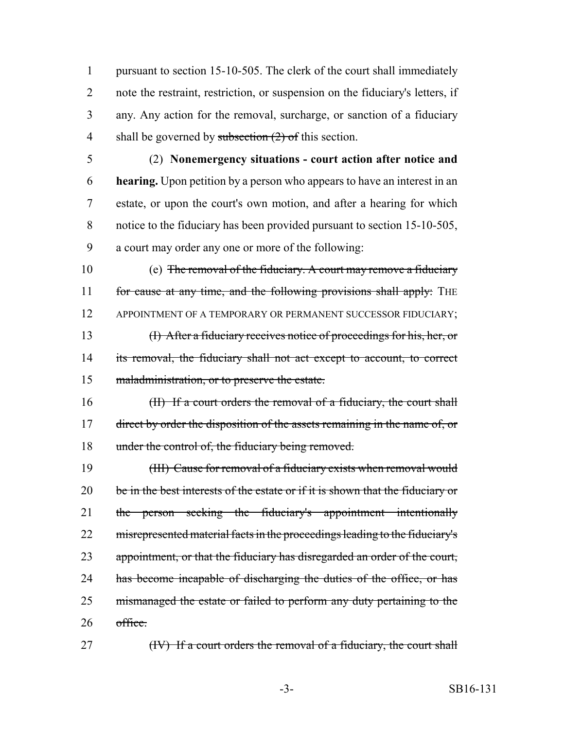pursuant to section 15-10-505. The clerk of the court shall immediately note the restraint, restriction, or suspension on the fiduciary's letters, if any. Any action for the removal, surcharge, or sanction of a fiduciary 4 shall be governed by subsection  $(2)$  of this section.

 (2) **Nonemergency situations - court action after notice and hearing.** Upon petition by a person who appears to have an interest in an estate, or upon the court's own motion, and after a hearing for which notice to the fiduciary has been provided pursuant to section 15-10-505, a court may order any one or more of the following:

 (e) The removal of the fiduciary. A court may remove a fiduciary 11 for cause at any time, and the following provisions shall apply: THE 12 APPOINTMENT OF A TEMPORARY OR PERMANENT SUCCESSOR FIDUCIARY; (I) After a fiduciary receives notice of proceedings for his, her, or its removal, the fiduciary shall not act except to account, to correct maladministration, or to preserve the estate.

16 (II) If a court orders the removal of a fiduciary, the court shall 17 direct by order the disposition of the assets remaining in the name of, or 18 under the control of, the fiduciary being removed.

19 (III) Cause for removal of a fiduciary exists when removal would 20 be in the best interests of the estate or if it is shown that the fiduciary or 21 the person seeking the fiduciary's appointment intentionally 22 misrepresented material facts in the proceedings leading to the fiduciary's 23 appointment, or that the fiduciary has disregarded an order of the court, 24 has become incapable of discharging the duties of the office, or has 25 mismanaged the estate or failed to perform any duty pertaining to the 26 office.

27 (IV) If a court orders the removal of a fiduciary, the court shall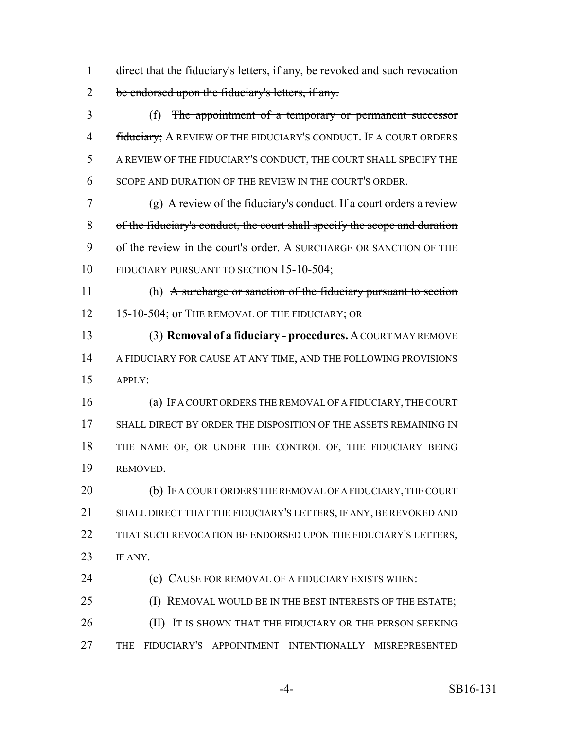direct that the fiduciary's letters, if any, be revoked and such revocation 2 be endorsed upon the fiduciary's letters, if any.

 (f) The appointment of a temporary or permanent successor 4 fiduciary; A REVIEW OF THE FIDUCIARY'S CONDUCT. IF A COURT ORDERS A REVIEW OF THE FIDUCIARY'S CONDUCT, THE COURT SHALL SPECIFY THE SCOPE AND DURATION OF THE REVIEW IN THE COURT'S ORDER.

 (g) A review of the fiduciary's conduct. If a court orders a review of the fiduciary's conduct, the court shall specify the scope and duration 9 of the review in the court's order. A SURCHARGE OR SANCTION OF THE 10 FIDUCIARY PURSUANT TO SECTION 15-10-504;

11 (h) A surcharge or sanction of the fiduciary pursuant to section 12 15-10-504; or The REMOVAL OF THE FIDUCIARY; OR

 (3) **Removal of a fiduciary - procedures.** A COURT MAY REMOVE A FIDUCIARY FOR CAUSE AT ANY TIME, AND THE FOLLOWING PROVISIONS APPLY:

 (a) IF A COURT ORDERS THE REMOVAL OF A FIDUCIARY, THE COURT SHALL DIRECT BY ORDER THE DISPOSITION OF THE ASSETS REMAINING IN THE NAME OF, OR UNDER THE CONTROL OF, THE FIDUCIARY BEING REMOVED.

20 (b) IF A COURT ORDERS THE REMOVAL OF A FIDUCIARY, THE COURT SHALL DIRECT THAT THE FIDUCIARY'S LETTERS, IF ANY, BE REVOKED AND THAT SUCH REVOCATION BE ENDORSED UPON THE FIDUCIARY'S LETTERS, IF ANY.

**(c)** CAUSE FOR REMOVAL OF A FIDUCIARY EXISTS WHEN:

25 (I) REMOVAL WOULD BE IN THE BEST INTERESTS OF THE ESTATE; **(II)** IT IS SHOWN THAT THE FIDUCIARY OR THE PERSON SEEKING THE FIDUCIARY'S APPOINTMENT INTENTIONALLY MISREPRESENTED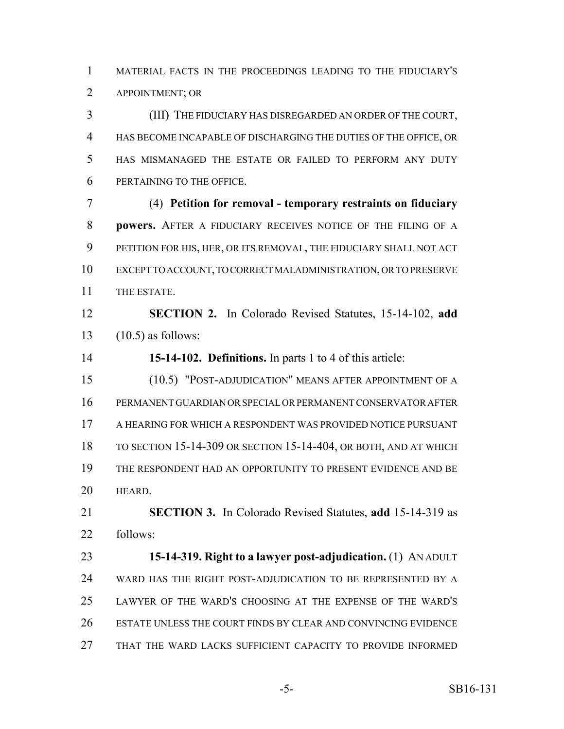MATERIAL FACTS IN THE PROCEEDINGS LEADING TO THE FIDUCIARY'S APPOINTMENT; OR

 (III) THE FIDUCIARY HAS DISREGARDED AN ORDER OF THE COURT, HAS BECOME INCAPABLE OF DISCHARGING THE DUTIES OF THE OFFICE, OR HAS MISMANAGED THE ESTATE OR FAILED TO PERFORM ANY DUTY PERTAINING TO THE OFFICE.

 (4) **Petition for removal - temporary restraints on fiduciary powers.** AFTER A FIDUCIARY RECEIVES NOTICE OF THE FILING OF A PETITION FOR HIS, HER, OR ITS REMOVAL, THE FIDUCIARY SHALL NOT ACT EXCEPT TO ACCOUNT, TO CORRECT MALADMINISTRATION, OR TO PRESERVE THE ESTATE.

 **SECTION 2.** In Colorado Revised Statutes, 15-14-102, **add** (10.5) as follows:

**15-14-102. Definitions.** In parts 1 to 4 of this article:

 (10.5) "POST-ADJUDICATION" MEANS AFTER APPOINTMENT OF A PERMANENT GUARDIAN OR SPECIAL OR PERMANENT CONSERVATOR AFTER A HEARING FOR WHICH A RESPONDENT WAS PROVIDED NOTICE PURSUANT TO SECTION 15-14-309 OR SECTION 15-14-404, OR BOTH, AND AT WHICH THE RESPONDENT HAD AN OPPORTUNITY TO PRESENT EVIDENCE AND BE HEARD.

 **SECTION 3.** In Colorado Revised Statutes, **add** 15-14-319 as follows:

 **15-14-319. Right to a lawyer post-adjudication.** (1) AN ADULT WARD HAS THE RIGHT POST-ADJUDICATION TO BE REPRESENTED BY A LAWYER OF THE WARD'S CHOOSING AT THE EXPENSE OF THE WARD'S ESTATE UNLESS THE COURT FINDS BY CLEAR AND CONVINCING EVIDENCE THAT THE WARD LACKS SUFFICIENT CAPACITY TO PROVIDE INFORMED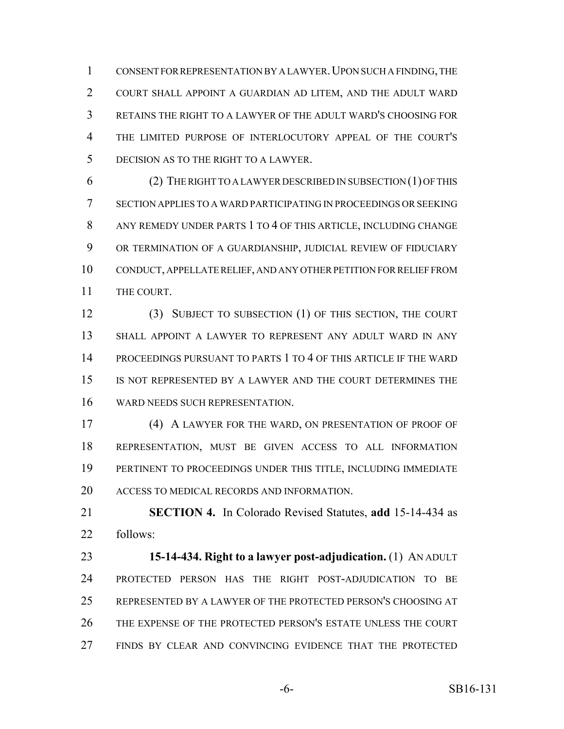CONSENT FOR REPRESENTATION BY A LAWYER.UPON SUCH A FINDING, THE COURT SHALL APPOINT A GUARDIAN AD LITEM, AND THE ADULT WARD RETAINS THE RIGHT TO A LAWYER OF THE ADULT WARD'S CHOOSING FOR THE LIMITED PURPOSE OF INTERLOCUTORY APPEAL OF THE COURT'S DECISION AS TO THE RIGHT TO A LAWYER.

 (2) THE RIGHT TO A LAWYER DESCRIBED IN SUBSECTION (1) OF THIS SECTION APPLIES TO A WARD PARTICIPATING IN PROCEEDINGS OR SEEKING ANY REMEDY UNDER PARTS 1 TO 4 OF THIS ARTICLE, INCLUDING CHANGE OR TERMINATION OF A GUARDIANSHIP, JUDICIAL REVIEW OF FIDUCIARY CONDUCT, APPELLATE RELIEF, AND ANY OTHER PETITION FOR RELIEF FROM THE COURT.

 (3) SUBJECT TO SUBSECTION (1) OF THIS SECTION, THE COURT SHALL APPOINT A LAWYER TO REPRESENT ANY ADULT WARD IN ANY PROCEEDINGS PURSUANT TO PARTS 1 TO 4 OF THIS ARTICLE IF THE WARD IS NOT REPRESENTED BY A LAWYER AND THE COURT DETERMINES THE WARD NEEDS SUCH REPRESENTATION.

 (4) A LAWYER FOR THE WARD, ON PRESENTATION OF PROOF OF REPRESENTATION, MUST BE GIVEN ACCESS TO ALL INFORMATION PERTINENT TO PROCEEDINGS UNDER THIS TITLE, INCLUDING IMMEDIATE ACCESS TO MEDICAL RECORDS AND INFORMATION.

 **SECTION 4.** In Colorado Revised Statutes, **add** 15-14-434 as follows:

 **15-14-434. Right to a lawyer post-adjudication.** (1) AN ADULT PROTECTED PERSON HAS THE RIGHT POST-ADJUDICATION TO BE REPRESENTED BY A LAWYER OF THE PROTECTED PERSON'S CHOOSING AT THE EXPENSE OF THE PROTECTED PERSON'S ESTATE UNLESS THE COURT FINDS BY CLEAR AND CONVINCING EVIDENCE THAT THE PROTECTED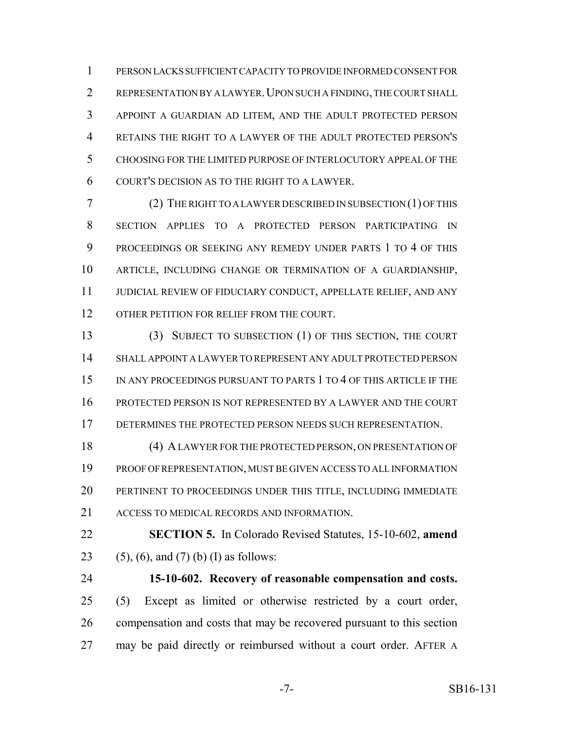PERSON LACKS SUFFICIENT CAPACITY TO PROVIDE INFORMED CONSENT FOR REPRESENTATION BY A LAWYER.UPON SUCH A FINDING, THE COURT SHALL APPOINT A GUARDIAN AD LITEM, AND THE ADULT PROTECTED PERSON RETAINS THE RIGHT TO A LAWYER OF THE ADULT PROTECTED PERSON'S CHOOSING FOR THE LIMITED PURPOSE OF INTERLOCUTORY APPEAL OF THE COURT'S DECISION AS TO THE RIGHT TO A LAWYER.

 (2) THE RIGHT TO A LAWYER DESCRIBED IN SUBSECTION (1) OF THIS SECTION APPLIES TO A PROTECTED PERSON PARTICIPATING IN PROCEEDINGS OR SEEKING ANY REMEDY UNDER PARTS 1 TO 4 OF THIS ARTICLE, INCLUDING CHANGE OR TERMINATION OF A GUARDIANSHIP, JUDICIAL REVIEW OF FIDUCIARY CONDUCT, APPELLATE RELIEF, AND ANY 12 OTHER PETITION FOR RELIEF FROM THE COURT.

 (3) SUBJECT TO SUBSECTION (1) OF THIS SECTION, THE COURT SHALL APPOINT A LAWYER TO REPRESENT ANY ADULT PROTECTED PERSON 15 IN ANY PROCEEDINGS PURSUANT TO PARTS 1 TO 4 OF THIS ARTICLE IF THE PROTECTED PERSON IS NOT REPRESENTED BY A LAWYER AND THE COURT 17 DETERMINES THE PROTECTED PERSON NEEDS SUCH REPRESENTATION.

 (4) A LAWYER FOR THE PROTECTED PERSON, ON PRESENTATION OF PROOF OF REPRESENTATION, MUST BE GIVEN ACCESS TO ALL INFORMATION PERTINENT TO PROCEEDINGS UNDER THIS TITLE, INCLUDING IMMEDIATE ACCESS TO MEDICAL RECORDS AND INFORMATION.

 **SECTION 5.** In Colorado Revised Statutes, 15-10-602, **amend** 23 (5), (6), and (7) (b) (I) as follows:

 **15-10-602. Recovery of reasonable compensation and costs.** (5) Except as limited or otherwise restricted by a court order, compensation and costs that may be recovered pursuant to this section may be paid directly or reimbursed without a court order. AFTER A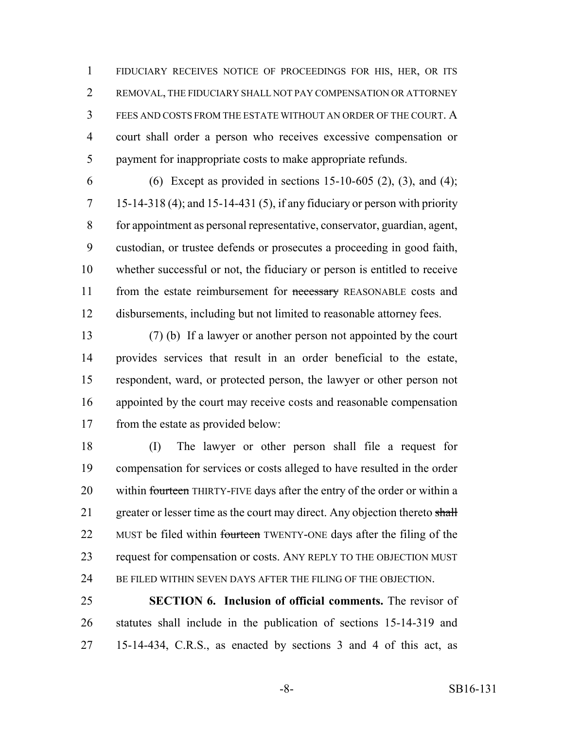FIDUCIARY RECEIVES NOTICE OF PROCEEDINGS FOR HIS, HER, OR ITS REMOVAL, THE FIDUCIARY SHALL NOT PAY COMPENSATION OR ATTORNEY FEES AND COSTS FROM THE ESTATE WITHOUT AN ORDER OF THE COURT. A court shall order a person who receives excessive compensation or payment for inappropriate costs to make appropriate refunds.

6 (6) Except as provided in sections  $15{\text -}10{\text -}605$  (2), (3), and (4); 15-14-318 (4); and 15-14-431 (5), if any fiduciary or person with priority for appointment as personal representative, conservator, guardian, agent, custodian, or trustee defends or prosecutes a proceeding in good faith, whether successful or not, the fiduciary or person is entitled to receive 11 from the estate reimbursement for necessary REASONABLE costs and disbursements, including but not limited to reasonable attorney fees.

 (7) (b) If a lawyer or another person not appointed by the court provides services that result in an order beneficial to the estate, respondent, ward, or protected person, the lawyer or other person not appointed by the court may receive costs and reasonable compensation from the estate as provided below:

 (I) The lawyer or other person shall file a request for compensation for services or costs alleged to have resulted in the order 20 within fourteen THIRTY-FIVE days after the entry of the order or within a 21 greater or lesser time as the court may direct. Any objection thereto shall 22 MUST be filed within fourteen TWENTY-ONE days after the filing of the 23 request for compensation or costs. ANY REPLY TO THE OBJECTION MUST BE FILED WITHIN SEVEN DAYS AFTER THE FILING OF THE OBJECTION.

 **SECTION 6. Inclusion of official comments.** The revisor of statutes shall include in the publication of sections 15-14-319 and 15-14-434, C.R.S., as enacted by sections 3 and 4 of this act, as